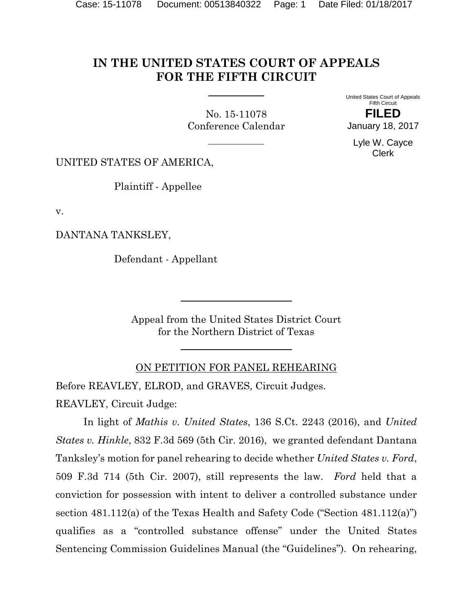# **IN THE UNITED STATES COURT OF APPEALS FOR THE FIFTH CIRCUIT**

No. 15-11078 Conference Calendar United States Court of Appeals Fifth Circuit **FILED**

January 18, 2017

Lyle W. Cayce Clerk

UNITED STATES OF AMERICA,

Plaintiff - Appellee

v.

DANTANA TANKSLEY,

Defendant - Appellant

Appeal from the United States District Court for the Northern District of Texas

#### ON PETITION FOR PANEL REHEARING

Before REAVLEY, ELROD, and GRAVES, Circuit Judges. REAVLEY, Circuit Judge:

In light of *Mathis v. United States*, 136 S.Ct. 2243 (2016), and *United States v. Hinkle*, 832 F.3d 569 (5th Cir. 2016), we granted defendant Dantana Tanksley's motion for panel rehearing to decide whether *United States v. Ford*, 509 F.3d 714 (5th Cir. 2007), still represents the law. *Ford* held that a conviction for possession with intent to deliver a controlled substance under section 481.112(a) of the Texas Health and Safety Code ("Section 481.112(a)") qualifies as a "controlled substance offense" under the United States Sentencing Commission Guidelines Manual (the "Guidelines"). On rehearing,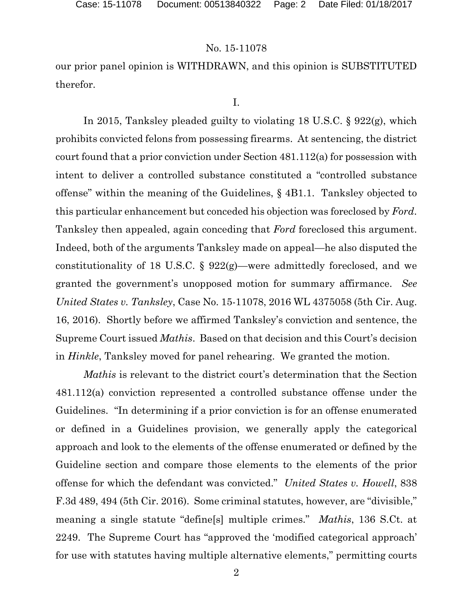our prior panel opinion is WITHDRAWN, and this opinion is SUBSTITUTED therefor.

I.

In 2015, Tanksley pleaded guilty to violating 18 U.S.C. § 922(g), which prohibits convicted felons from possessing firearms. At sentencing, the district court found that a prior conviction under Section 481.112(a) for possession with intent to deliver a controlled substance constituted a "controlled substance offense" within the meaning of the Guidelines, § 4B1.1. Tanksley objected to this particular enhancement but conceded his objection was foreclosed by *Ford*. Tanksley then appealed, again conceding that *Ford* foreclosed this argument. Indeed, both of the arguments Tanksley made on appeal—he also disputed the constitutionality of 18 U.S.C. § 922(g)—were admittedly foreclosed, and we granted the government's unopposed motion for summary affirmance. *See United States v. Tanksley*, Case No. 15-11078, 2016 WL 4375058 (5th Cir. Aug. 16, 2016). Shortly before we affirmed Tanksley's conviction and sentence, the Supreme Court issued *Mathis*. Based on that decision and this Court's decision in *Hinkle*, Tanksley moved for panel rehearing. We granted the motion.

*Mathis* is relevant to the district court's determination that the Section 481.112(a) conviction represented a controlled substance offense under the Guidelines. "In determining if a prior conviction is for an offense enumerated or defined in a Guidelines provision, we generally apply the categorical approach and look to the elements of the offense enumerated or defined by the Guideline section and compare those elements to the elements of the prior offense for which the defendant was convicted." *United States v. Howell*, 838 F.3d 489, 494 (5th Cir. 2016). Some criminal statutes, however, are "divisible," meaning a single statute "define[s] multiple crimes." *Mathis*, 136 S.Ct. at 2249. The Supreme Court has "approved the 'modified categorical approach' for use with statutes having multiple alternative elements," permitting courts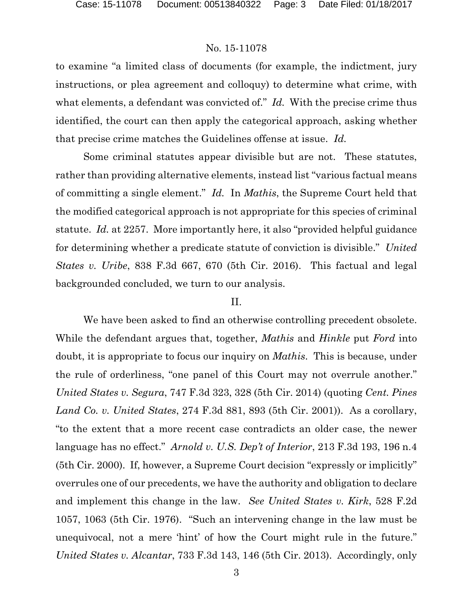to examine "a limited class of documents (for example, the indictment, jury instructions, or plea agreement and colloquy) to determine what crime, with what elements, a defendant was convicted of." *Id.* With the precise crime thus identified, the court can then apply the categorical approach, asking whether that precise crime matches the Guidelines offense at issue. *Id.*

Some criminal statutes appear divisible but are not. These statutes, rather than providing alternative elements, instead list "various factual means of committing a single element." *Id.* In *Mathis*, the Supreme Court held that the modified categorical approach is not appropriate for this species of criminal statute. *Id.* at 2257. More importantly here, it also "provided helpful guidance for determining whether a predicate statute of conviction is divisible." *United States v. Uribe*, 838 F.3d 667, 670 (5th Cir. 2016). This factual and legal backgrounded concluded, we turn to our analysis.

### II.

We have been asked to find an otherwise controlling precedent obsolete. While the defendant argues that, together, *Mathis* and *Hinkle* put *Ford* into doubt, it is appropriate to focus our inquiry on *Mathis*. This is because, under the rule of orderliness, "one panel of this Court may not overrule another." *United States v. Segura*, 747 F.3d 323, 328 (5th Cir. 2014) (quoting *Cent. Pines Land Co. v. United States*, 274 F.3d 881, 893 (5th Cir. 2001)). As a corollary, "to the extent that a more recent case contradicts an older case, the newer language has no effect." *Arnold v. U.S. Dep't of Interior*, 213 F.3d 193, 196 n.4 (5th Cir. 2000). If, however, a Supreme Court decision "expressly or implicitly" overrules one of our precedents, we have the authority and obligation to declare and implement this change in the law. *See United States v. Kirk*, 528 F.2d 1057, 1063 (5th Cir. 1976). "Such an intervening change in the law must be unequivocal, not a mere 'hint' of how the Court might rule in the future." *United States v. Alcantar*, 733 F.3d 143, 146 (5th Cir. 2013). Accordingly, only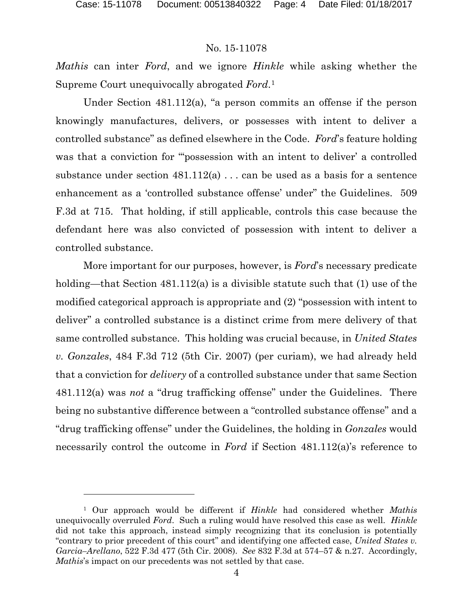$\overline{a}$ 

### No. 15-11078

*Mathis* can inter *Ford*, and we ignore *Hinkle* while asking whether the Supreme Court unequivocally abrogated *Ford*.[1](#page-3-0)

Under Section 481.112(a), "a person commits an offense if the person knowingly manufactures, delivers, or possesses with intent to deliver a controlled substance" as defined elsewhere in the Code. *Ford*'s feature holding was that a conviction for ""possession with an intent to deliver' a controlled substance under section  $481.112(a)$ ... can be used as a basis for a sentence enhancement as a 'controlled substance offense' under" the Guidelines. 509 F.3d at 715. That holding, if still applicable, controls this case because the defendant here was also convicted of possession with intent to deliver a controlled substance.

More important for our purposes, however, is *Ford*'s necessary predicate holding—that Section 481.112(a) is a divisible statute such that (1) use of the modified categorical approach is appropriate and (2) "possession with intent to deliver" a controlled substance is a distinct crime from mere delivery of that same controlled substance. This holding was crucial because, in *United States v. Gonzales*, 484 F.3d 712 (5th Cir. 2007) (per curiam), we had already held that a conviction for *delivery* of a controlled substance under that same Section 481.112(a) was *not* a "drug trafficking offense" under the Guidelines. There being no substantive difference between a "controlled substance offense" and a "drug trafficking offense" under the Guidelines, the holding in *Gonzales* would necessarily control the outcome in *Ford* if Section 481.112(a)'s reference to

<span id="page-3-0"></span><sup>1</sup> Our approach would be different if *Hinkle* had considered whether *Mathis*  unequivocally overruled *Ford*. Such a ruling would have resolved this case as well. *Hinkle* did not take this approach, instead simply recognizing that its conclusion is potentially "contrary to prior precedent of this court" and identifying one affected case, *United States v. Garcia–Arellano*, 522 F.3d 477 (5th Cir. 2008). *See* 832 F.3d at 574–57 & n.27. Accordingly, *Mathis*'s impact on our precedents was not settled by that case.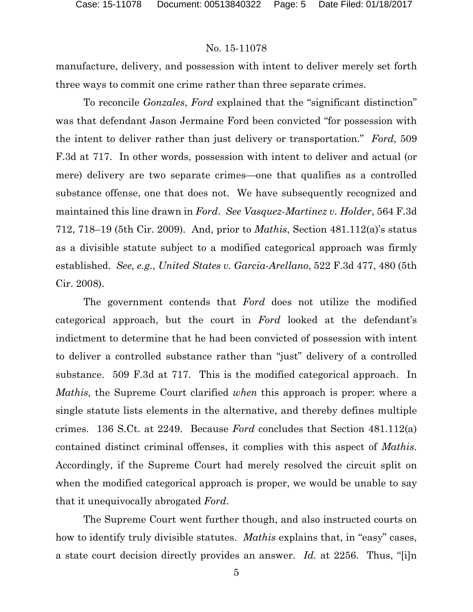manufacture, delivery, and possession with intent to deliver merely set forth three ways to commit one crime rather than three separate crimes.

To reconcile *Gonzales*, *Ford* explained that the "significant distinction" was that defendant Jason Jermaine Ford been convicted "for possession with the intent to deliver rather than just delivery or transportation." *Ford*, 509 F.3d at 717. In other words, possession with intent to deliver and actual (or mere) delivery are two separate crimes—one that qualifies as a controlled substance offense, one that does not. We have subsequently recognized and maintained this line drawn in *Ford*. *See Vasquez-Martinez v. Holder*, 564 F.3d 712, 718–19 (5th Cir. 2009). And, prior to *Mathis*, Section 481.112(a)'s status as a divisible statute subject to a modified categorical approach was firmly established. *See, e.g.*, *United States v. Garcia-Arellano*, 522 F.3d 477, 480 (5th Cir. 2008).

The government contends that *Ford* does not utilize the modified categorical approach, but the court in *Ford* looked at the defendant's indictment to determine that he had been convicted of possession with intent to deliver a controlled substance rather than "just" delivery of a controlled substance. 509 F.3d at 717. This is the modified categorical approach. In *Mathis,* the Supreme Court clarified *when* this approach is proper: where a single statute lists elements in the alternative, and thereby defines multiple crimes. 136 S.Ct. at 2249.Because *Ford* concludes that Section 481.112(a) contained distinct criminal offenses, it complies with this aspect of *Mathis*. Accordingly, if the Supreme Court had merely resolved the circuit split on when the modified categorical approach is proper, we would be unable to say that it unequivocally abrogated *Ford*.

The Supreme Court went further though, and also instructed courts on how to identify truly divisible statutes. *Mathis* explains that, in "easy" cases, a state court decision directly provides an answer. *Id.* at 2256. Thus, "[i]n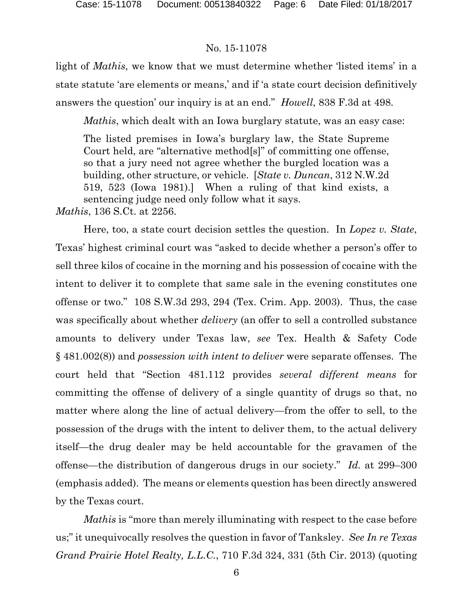light of *Mathis*, we know that we must determine whether 'listed items' in a state statute 'are elements or means,' and if 'a state court decision definitively answers the question' our inquiry is at an end." *Howell*, 838 F.3d at 498.

*Mathis*, which dealt with an Iowa burglary statute, was an easy case:

The listed premises in Iowa's burglary law, the State Supreme Court held, are "alternative method[s]" of committing one offense, so that a jury need not agree whether the burgled location was a building, other structure, or vehicle. [*State v. Duncan*, 312 N.W.2d 519, 523 (Iowa 1981).] When a ruling of that kind exists, a sentencing judge need only follow what it says.

*Mathis*, 136 S.Ct. at 2256.

Here, too, a state court decision settles the question. In *Lopez v. State*, Texas' highest criminal court was "asked to decide whether a person's offer to sell three kilos of cocaine in the morning and his possession of cocaine with the intent to deliver it to complete that same sale in the evening constitutes one offense or two." 108 S.W.3d 293, 294 (Tex. Crim. App. 2003). Thus, the case was specifically about whether *delivery* (an offer to sell a controlled substance amounts to delivery under Texas law, *see* Tex. Health & Safety Code § 481.002(8)) and *possession with intent to deliver* were separate offenses. The court held that "Section 481.112 provides *several different means* for committing the offense of delivery of a single quantity of drugs so that, no matter where along the line of actual delivery—from the offer to sell, to the possession of the drugs with the intent to deliver them, to the actual delivery itself—the drug dealer may be held accountable for the gravamen of the offense—the distribution of dangerous drugs in our society." *Id.* at 299–300 (emphasis added). The means or elements question has been directly answered by the Texas court.

*Mathis* is "more than merely illuminating with respect to the case before us;" it unequivocally resolves the question in favor of Tanksley. *See In re Texas Grand Prairie Hotel Realty, L.L.C.*, 710 F.3d 324, 331 (5th Cir. 2013) (quoting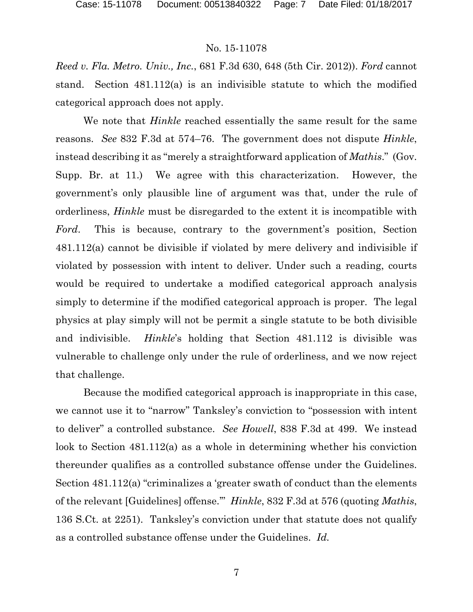*Reed v. Fla. Metro. Univ., Inc.*, 681 F.3d 630, 648 (5th Cir. 2012)). *Ford* cannot stand. Section 481.112(a) is an indivisible statute to which the modified categorical approach does not apply.

We note that *Hinkle* reached essentially the same result for the same reasons. *See* 832 F.3d at 574–76. The government does not dispute *Hinkle*, instead describing it as "merely a straightforward application of *Mathis*." (Gov. Supp. Br. at 11.) We agree with this characterization. However, the government's only plausible line of argument was that, under the rule of orderliness, *Hinkle* must be disregarded to the extent it is incompatible with *Ford*. This is because, contrary to the government's position, Section 481.112(a) cannot be divisible if violated by mere delivery and indivisible if violated by possession with intent to deliver. Under such a reading, courts would be required to undertake a modified categorical approach analysis simply to determine if the modified categorical approach is proper. The legal physics at play simply will not be permit a single statute to be both divisible and indivisible. *Hinkle*'s holding that Section 481.112 is divisible was vulnerable to challenge only under the rule of orderliness, and we now reject that challenge.

Because the modified categorical approach is inappropriate in this case, we cannot use it to "narrow" Tanksley's conviction to "possession with intent to deliver" a controlled substance. *See Howell*, 838 F.3d at 499. We instead look to Section 481.112(a) as a whole in determining whether his conviction thereunder qualifies as a controlled substance offense under the Guidelines. Section 481.112(a) "criminalizes a 'greater swath of conduct than the elements of the relevant [Guidelines] offense.'" *Hinkle*, 832 F.3d at 576 (quoting *Mathis*, 136 S.Ct. at 2251). Tanksley's conviction under that statute does not qualify as a controlled substance offense under the Guidelines. *Id.*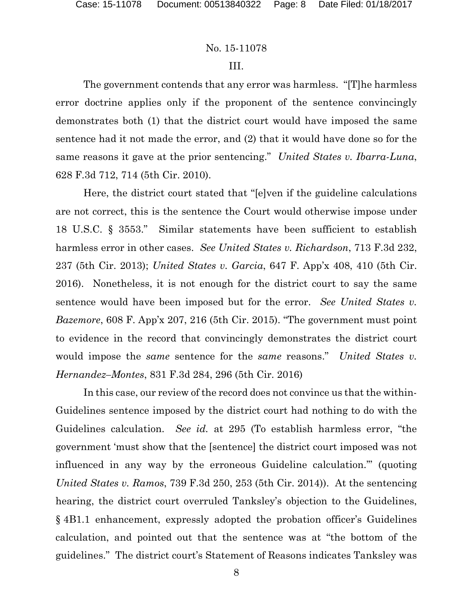#### III.

The government contends that any error was harmless. "[T]he harmless error doctrine applies only if the proponent of the sentence convincingly demonstrates both (1) that the district court would have imposed the same sentence had it not made the error, and (2) that it would have done so for the same reasons it gave at the prior sentencing." *United States v. Ibarra-Luna*, 628 F.3d 712, 714 (5th Cir. 2010).

Here, the district court stated that "[e]ven if the guideline calculations are not correct, this is the sentence the Court would otherwise impose under 18 U.S.C. § 3553." Similar statements have been sufficient to establish harmless error in other cases. *See United States v. Richardson*, 713 F.3d 232, 237 (5th Cir. 2013); *United States v. Garcia*, 647 F. App'x 408, 410 (5th Cir. 2016). Nonetheless, it is not enough for the district court to say the same sentence would have been imposed but for the error. *See United States v. Bazemore*, 608 F. App'x 207, 216 (5th Cir. 2015). "The government must point to evidence in the record that convincingly demonstrates the district court would impose the *same* sentence for the *same* reasons." *United States v. Hernandez–Montes*, 831 F.3d 284, 296 (5th Cir. 2016)

In this case, our review of the record does not convince us that the within-Guidelines sentence imposed by the district court had nothing to do with the Guidelines calculation. *See id.* at 295 (To establish harmless error, "the government 'must show that the [sentence] the district court imposed was not influenced in any way by the erroneous Guideline calculation.'" (quoting *United States v. Ramos*, 739 F.3d 250, 253 (5th Cir. 2014)). At the sentencing hearing, the district court overruled Tanksley's objection to the Guidelines, § 4B1.1 enhancement, expressly adopted the probation officer's Guidelines calculation, and pointed out that the sentence was at "the bottom of the guidelines." The district court's Statement of Reasons indicates Tanksley was